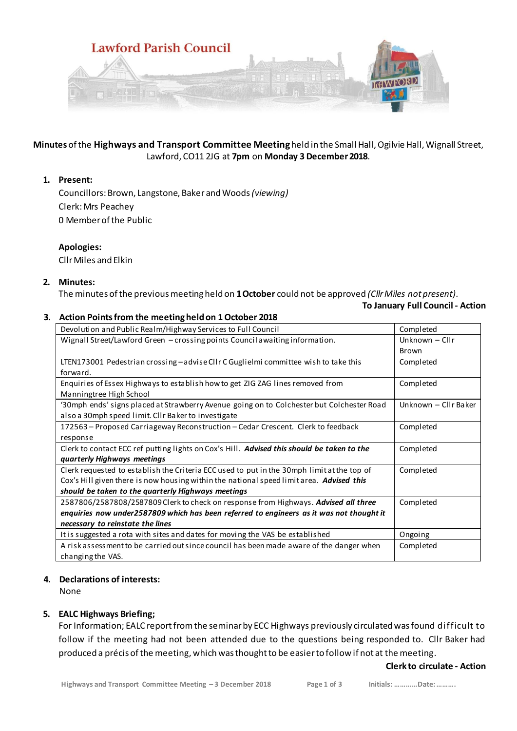

## **Minutes** of the **Highways and Transport Committee Meeting**held in the Small Hall, Ogilvie Hall, Wignall Street, Lawford, CO11 2JG at **7pm** on **Monday 3 December2018**.

### **1. Present:**

Councillors:Brown, Langstone, Baker and Woods *(viewing)* Clerk: Mrs Peachey 0 Member of the Public

## **Apologies:**

CllrMiles and Elkin

## **2. Minutes:**

The minutes of the previous meeting held on **1 October** could not be approved *(Cllr Miles not present).*

#### **To January Full Council - Action**

## **3. Action Points from the meeting held on 1 October 2018**

| Devolution and Public Realm/Highway Services to Full Council                               | Completed            |
|--------------------------------------------------------------------------------------------|----------------------|
| Wignall Street/Lawford Green - crossing points Council awaiting information.               | Unknown - Cllr       |
|                                                                                            | Brown                |
| LTEN173001 Pedestrian crossing - advise ClIr C Guglielmi committee wish to take this       | Completed            |
| forward.                                                                                   |                      |
| Enquiries of Essex Highways to establish how to get ZIG ZAG lines removed from             | Completed            |
| Manningtree High School                                                                    |                      |
| '30mph ends' signs placed at Strawberry Avenue going on to Colchester but Colchester Road  | Unknown - Cllr Baker |
| also a 30mph speed limit. Cllr Baker to investigate                                        |                      |
| 172563 - Proposed Carriageway Reconstruction - Cedar Crescent. Clerk to feedback           | Completed            |
| response                                                                                   |                      |
| Clerk to contact ECC ref putting lights on Cox's Hill. Advised this should be taken to the | Completed            |
| quarterly Highways meetings                                                                |                      |
| Clerk requested to establish the Criteria ECC used to put in the 30mph limit at the top of | Completed            |
| Cox's Hill given there is now housing within the national speed limit area. Advised this   |                      |
| should be taken to the quarterly Highways meetings                                         |                      |
| 2587806/2587808/2587809 Clerk to check on response from Highways. Advised all three        | Completed            |
| enquiries now under2587809 which has been referred to engineers as it was not thought it   |                      |
| necessary to reinstate the lines                                                           |                      |
| It is suggested a rota with sites and dates for moving the VAS be established              | Ongoing              |
| A risk assessment to be carried out since council has been made aware of the danger when   | Completed            |
| changing the VAS.                                                                          |                      |

### **4. Declarations of interests:**

None

# **5. EALC Highways Briefing;**

For Information; EALC report from the seminar by ECC Highways previously circulated was found difficult to follow if the meeting had not been attended due to the questions being responded to. Cllr Baker had produced a précis of the meeting, which was thought to be easier to follow if not at the meeting.

# **Clerk to circulate - Action**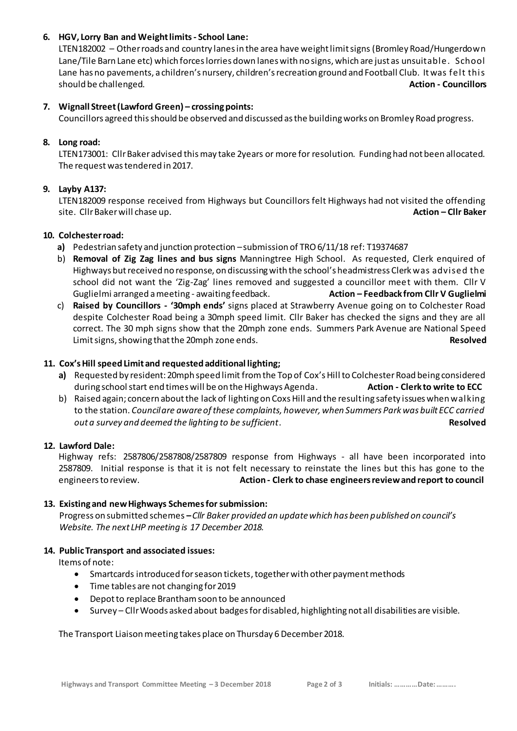# **6. HGV, Lorry Ban and Weight limits - School Lane:**

LTEN182002 – Other roads and country lanes in the area have weight limit signs (Bromley Road/Hungerdown Lane/Tile Barn Lane etc) which forces lorries down lanes with no signs, which are just as unsuitable. School Lane has no pavements, a children's nursery, children's recreation ground and Football Club. It was felt this should be challenged. **Action - Councillors** and the challenged of the council of the council of the council of the council of the council of the council of the council of the council of the council of the council of the c

## **7. Wignall Street(Lawford Green) – crossing points:**

Councillors agreed this should be observed and discussed as the building works on Bromley Road progress.

## **8. Long road:**

LTEN173001: Cllr Baker advised thismay take 2years or more for resolution. Funding had not been allocated. The request was tendered in 2017.

## **9. Layby A137:**

LTEN182009 response received from Highways but Councillors felt Highways had not visited the offending site. Cllr Baker will chase up. **Action – Cllr Baker**

### **10. Colchester road:**

- **a)** Pedestrian safety and junction protection –submission of TRO 6/11/18 ref: T19374687
- b) **Removal of Zig Zag lines and bus signs** Manningtree High School. As requested, Clerk enquired of Highways but received no response, on discussing with the school's headmistress Clerk was advised the school did not want the 'Zig-Zag' lines removed and suggested a councillor meet with them. Cllr V Guglielmi arranged a meeting - awaiting feedback. **Action – Feedback from Cllr V Guglielmi**
- c) **Raised by Councillors - '30mph ends'** signs placed at Strawberry Avenue going on to Colchester Road despite Colchester Road being a 30mph speed limit. Cllr Baker has checked the signs and they are all correct. The 30 mph signs show that the 20mph zone ends. Summers Park Avenue are National Speed Limit signs, showing that the 20mph zone ends. **Resolved**

## **11. Cox's Hill speed Limit and requested additional lighting;**

- **a)** Requested by resident: 20mph speed limit from the Top of Cox's Hill to Colchester Road being considered during school start end times will be on the Highways Agenda. **Action - Clerk to write to ECC**
- b) Raised again; concern about the lack of lighting on Coxs Hill and the resulting safety issues when walking to the station. *Council are aware of these complaints, however, when Summers Park was built ECC carried out a survey and deemed the lighting to be sufficient*. **Resolved Resolved**

### **12. Lawford Dale:**

Highway refs: 2587806/2587808/2587809 response from Highways - all have been incorporated into 2587809. Initial response is that it is not felt necessary to reinstate the lines but this has gone to the engineers to review. **Action - Clerk to chase engineers review and report to council** 

### **13. Existing and new Highways Schemes for submission:**

 Progress on submitted schemes **–***Cllr Baker provided an update which has been published on council's Website. The next LHP meeting is 17 December 2018.*

### **14. Public Transport and associated issues:**

Items of note:

- Smartcards introduced for season tickets, together with other payment methods
- Time tables are not changing for 2019
- Depot to replace Brantham soon to be announced
- Survey Cllr Woods asked about badges for disabled, highlighting not all disabilities are visible.

The Transport Liaison meeting takes place on Thursday 6 December 2018.